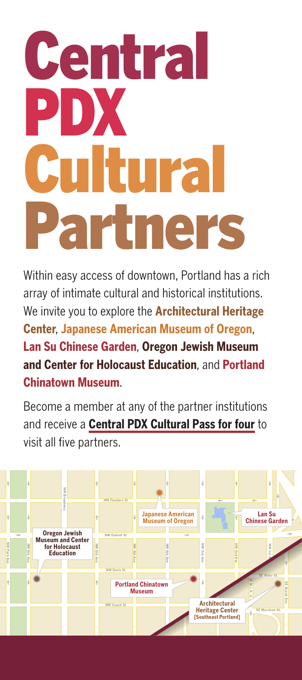# **Central** PDX **TITY:** artners

Within easy access of downtown, Portland has a rich array of intimate cultural and historical institutions. We invite you to explore the **Architectural Heritage Center**, **Japanese American Museum of Oregon**, **Lan Su Chinese Garden**, **Oregon Jewish Museum and Center for Holocaust Education**, and **Portland Chinatown Museum**.

Become a member at any of the partner institutions and receive a **Central PDX Cultural Pass for four** to visit all five partners.